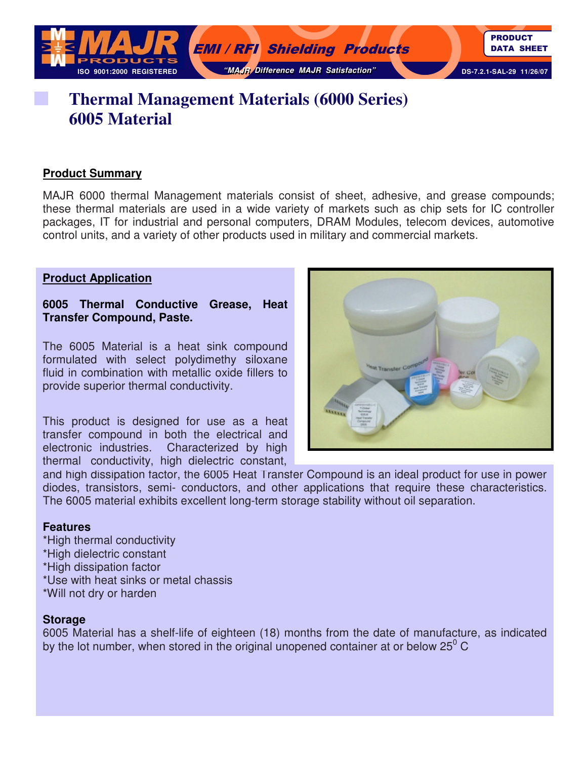

# **Thermal Management Materials (6000 Series) 6005 Material**

### **Product Summary**

MAJR 6000 thermal Management materials consist of sheet, adhesive, and grease compounds; these thermal materials are used in a wide variety of markets such as chip sets for IC controller packages, IT for industrial and personal computers, DRAM Modules, telecom devices, automotive control units, and a variety of other products used in military and commercial markets.

#### **Product Application**

**6005 Thermal Conductive Grease, Heat Transfer Compound, Paste.** 

The 6005 Material is a heat sink compound formulated with select polydimethy siloxane fluid in combination with metallic oxide fillers to provide superior thermal conductivity.

This product is designed for use as a heat transfer compound in both the electrical and electronic industries. Characterized by high thermal conductivity, high dielectric constant,

and high dissipation factor, the 6005 Heat Transfer Compound is an ideal product for use in power diodes, transistors, semi- conductors, and other applications that require these characteristics. The 6005 material exhibits excellent long-term storage stability without oil separation.

#### **Features**

\*High thermal conductivity \*High dielectric constant \*High dissipation factor \*Use with heat sinks or metal chassis \*Will not dry or harden

#### **Storage**

6005 Material has a shelf-life of eighteen (18) months from the date of manufacture, as indicated by the lot number, when stored in the original unopened container at or below 25 $^0$  C